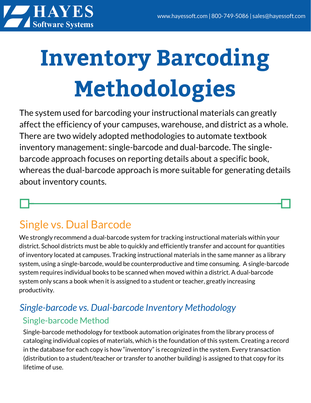

# **Inventory Barcoding Methodologies**

The system used for barcoding your instructional materials can greatly affect the efficiency of your campuses, warehouse, and district as a whole. There are two widely adopted methodologies to automate textbook inventory management: single-barcode and dual-barcode. The singlebarcode approach focuses on reporting details about a specific book, whereas the dual-barcode approach is more suitable for generating details about inventory counts.

## Single vs. Dual Barcode

We strongly recommend a dual-barcode system for tracking instructional materials within your district. School districts must be able to quickly and efficiently transfer and account for quantities of inventory located at campuses. Tracking instructional materials in the same manner as a library system, using a single-barcode, would be counterproductive and time consuming. A single-barcode system requires individual books to be scanned when moved within a district. A dual-barcode system only scans a book when it is assigned to a student or teacher, greatly increasing productivity.

## *Single-barcode vs. Dual-barcode Inventory Methodology* Single-barcode Method

Single-barcode methodology for textbook automation originates from the library process of cataloging individual copies of materials, which is the foundation of this system. Creating a record in the database for each copy is how "inventory" is recognized in the system. Every transaction (distribution to a student/teacher or transfer to another building) is assigned to that copy for its lifetime of use.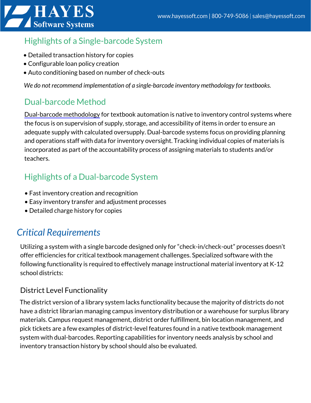

## Highlights of a Single-barcode System

- Detailed transaction history for copies
- Configurable loan policy creation
- Auto conditioning based on number of check-outs

*We do not recommend implementation of a single-barcode inventory methodology for textbooks.*

### Dual-barcode Method

[Dual-barcode](https://www.hayessoft.com/2015/04/barcodes-necessary-feature-or-textbook-inventory-management-roadblock/) methodology for textbook automation is native to inventory control systems where the focus is on supervision of supply, storage, and accessibility of items in order to ensure an adequate supply with calculated oversupply. Dual-barcode systems focus on providing planning and operations staff with data for inventory oversight. Tracking individual copies of materials is incorporated as part of the accountability process of assigning materials to students and/or teachers.

## Highlights of a Dual-barcode System

- Fast inventory creation and recognition
- Easy inventory transfer and adjustment processes
- Detailed charge history for copies

## *Critical Requirements*

Utilizing a system with a single barcode designed only for "check-in/check-out" processes doesn't offer efficiencies for critical textbook management challenges. Specialized software with the following functionality is required to effectively manage instructional material inventory at K-12 school districts:

#### District Level Functionality

The district version of a library system lacks functionality because the majority of districts do not have a district librarian managing campus inventory distribution or a warehouse for surplus library materials. Campus request management, district order fulfillment, bin location management, and pick tickets are a few examples of district-level features found in a native textbook management system with dual-barcodes. Reporting capabilities for inventory needs analysis by school and inventory transaction history by school should also be evaluated.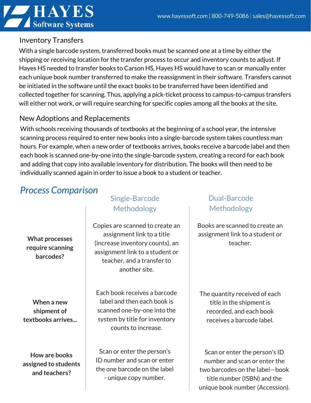

#### Inventory Transfers

With a single barcode system, transferred books must be scanned one at a time by either the shipping or receiving location for the transfer process to occur and inventory counts to adjust. If Hayes HS needed to transfer books to Carson HS, Hayes HS would have to scan or manually enter each unique book number transferred to make the reassignment in their software. Transfers cannot be initiated in the software until the exact books to be transferred have been identified and collected together for scanning. Thus, applying a pick-ticket process to campus-to-campus transfers will either not work, or will require searching for specific copies among all the books at the site.

#### New Adoptions and Replacements

With schools receiving thousands of textbooks at the beginning of a school year, the intensive scanning process required to enter new books into a single-barcode system takes countless man hours. For example, when a new order of textbooks arrives, books receive a barcode label and then each book is scanned one-by-one into the single-barcode system, creating a record for each book and adding that copy into available inventory for distribution. The books will then need to be individually scanned again in order to issue a book to a student or teacher.

## *Process Comparison*

**What processes require scanning barcodes?**

**When a new shipment of textbooks arrives...**

**How are books assigned to students and teachers?**

#### Single-Barcode Methodology

Copies are scanned to create an assignment link to a title (increase inventory counts), an assignment link to a student or teacher, and a transfer to another site.

Each book receives a barcode label and then each book is scanned one-by-one into the system by title for inventory counts to increase.

Scan or enter the person's ID number and scan or enter the one barcode on the label - unique copy number.

#### Dual-Barcode Methodology

Books are scanned to create an assignment link to a student or teacher.

The quantity received of each title in the shipment is recorded, and each book receives a barcode label.

Scan or enter the person's ID number and scan or enter the two barcodes on the label—book title number (ISBN) and the unique book number (Accession).